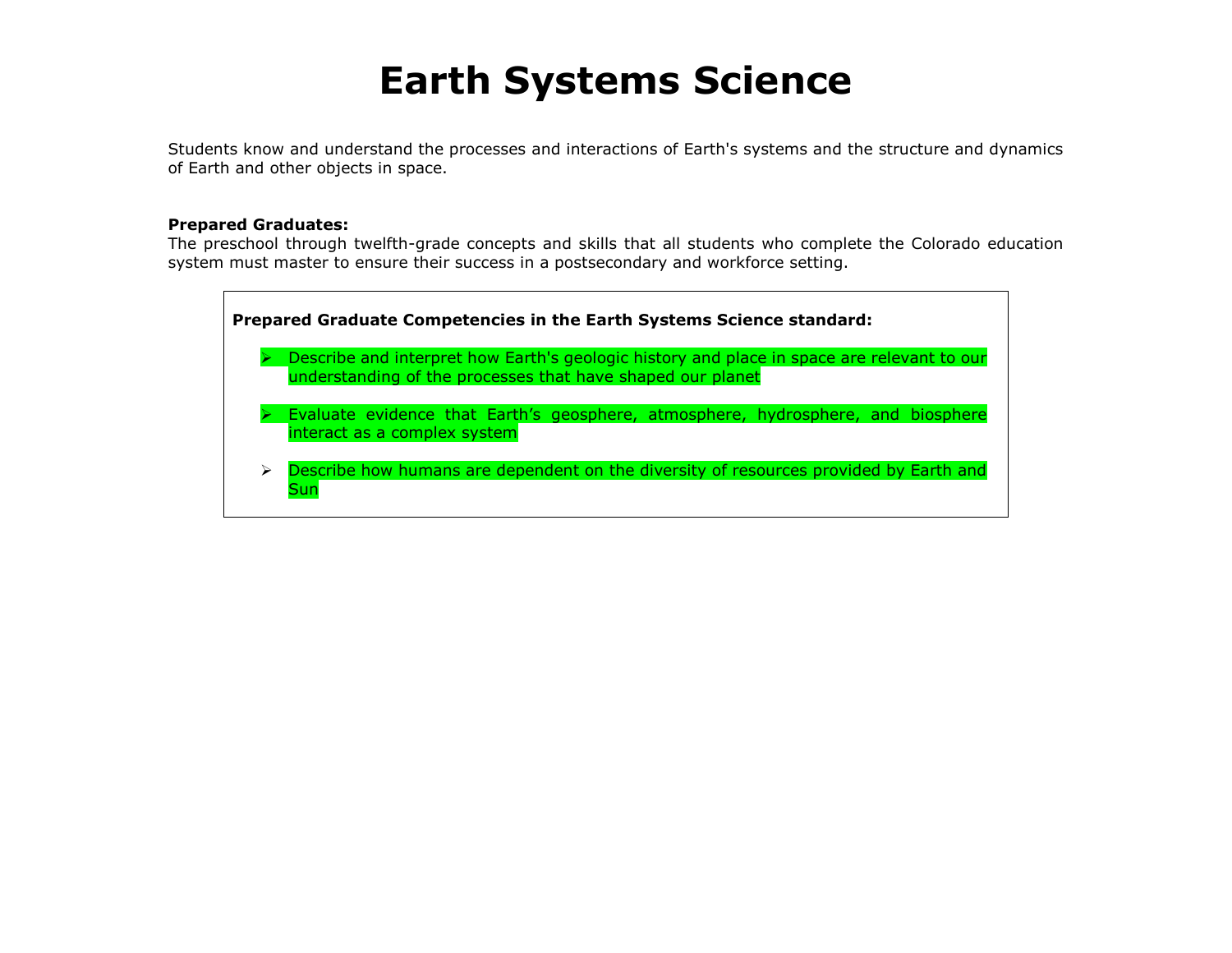# **Earth Systems Science**

Students know and understand the processes and interactions of Earth's systems and the structure and dynamics of Earth and other objects in space.

# **Prepared Graduates:**

The preschool through twelfth-grade concepts and skills that all students who complete the Colorado education system must master to ensure their success in a postsecondary and workforce setting.

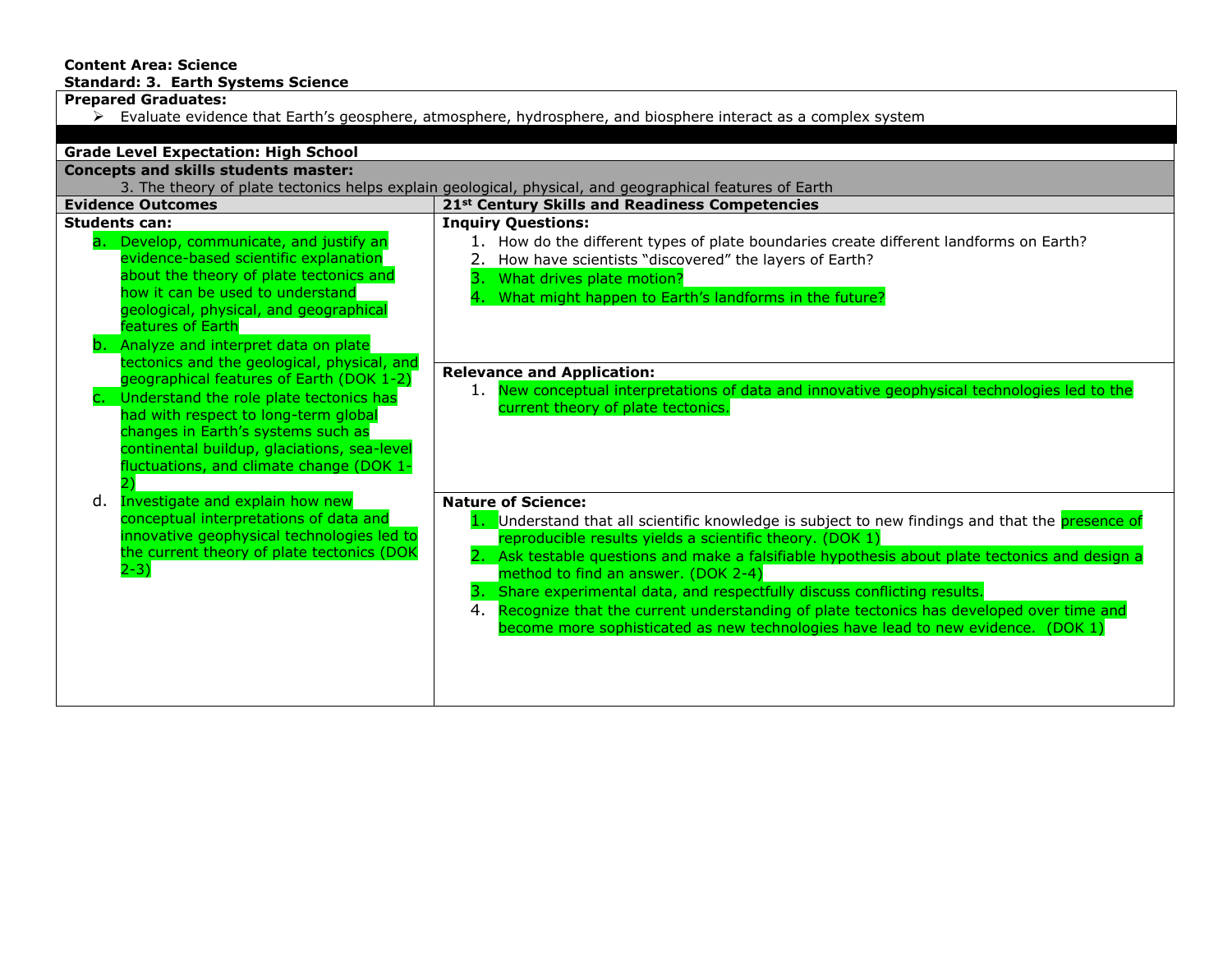# **Content Area: Science Standard: 3. Earth Systems Science**

**Prepared Graduates:**

 $\triangleright$  Evaluate evidence that Earth's geosphere, atmosphere, hydrosphere, and biosphere interact as a complex system

| <b>Grade Level Expectation: High School</b>                                                                                                                                                                                                                                                                 |                                                                                                                                                                                                                                                                                                                                                                                                                                                                                                                                                                                                     |  |
|-------------------------------------------------------------------------------------------------------------------------------------------------------------------------------------------------------------------------------------------------------------------------------------------------------------|-----------------------------------------------------------------------------------------------------------------------------------------------------------------------------------------------------------------------------------------------------------------------------------------------------------------------------------------------------------------------------------------------------------------------------------------------------------------------------------------------------------------------------------------------------------------------------------------------------|--|
| <b>Concepts and skills students master:</b>                                                                                                                                                                                                                                                                 |                                                                                                                                                                                                                                                                                                                                                                                                                                                                                                                                                                                                     |  |
| 3. The theory of plate tectonics helps explain geological, physical, and geographical features of Earth                                                                                                                                                                                                     |                                                                                                                                                                                                                                                                                                                                                                                                                                                                                                                                                                                                     |  |
| <b>Evidence Outcomes</b>                                                                                                                                                                                                                                                                                    | 21 <sup>st</sup> Century Skills and Readiness Competencies                                                                                                                                                                                                                                                                                                                                                                                                                                                                                                                                          |  |
| <b>Students can:</b><br>Develop, communicate, and justify an<br>a.<br>evidence-based scientific explanation<br>about the theory of plate tectonics and<br>how it can be used to understand<br>geological, physical, and geographical<br>features of Earth<br>b. Analyze and interpret data on plate         | <b>Inquiry Questions:</b><br>1. How do the different types of plate boundaries create different landforms on Earth?<br>2. How have scientists "discovered" the layers of Earth?<br>3. What drives plate motion?<br>What might happen to Earth's landforms in the future?                                                                                                                                                                                                                                                                                                                            |  |
| tectonics and the geological, physical, and<br>geographical features of Earth (DOK 1-2)<br>Understand the role plate tectonics has<br>had with respect to long-term global<br>changes in Earth's systems such as<br>continental buildup, glaciations, sea-level<br>fluctuations, and climate change (DOK 1- | <b>Relevance and Application:</b><br>1. New conceptual interpretations of data and innovative geophysical technologies led to the<br>current theory of plate tectonics.                                                                                                                                                                                                                                                                                                                                                                                                                             |  |
| Investigate and explain how new<br>d.<br>conceptual interpretations of data and<br>innovative geophysical technologies led to<br>the current theory of plate tectonics (DOK<br>$2-3)$                                                                                                                       | <b>Nature of Science:</b><br>1. Understand that all scientific knowledge is subject to new findings and that the presence of<br>reproducible results yields a scientific theory. (DOK 1)<br>2. Ask testable questions and make a falsifiable hypothesis about plate tectonics and design a<br>method to find an answer. (DOK 2-4)<br>3. Share experimental data, and respectfully discuss conflicting results.<br>Recognize that the current understanding of plate tectonics has developed over time and<br>4.<br>become more sophisticated as new technologies have lead to new evidence. (DOK 1) |  |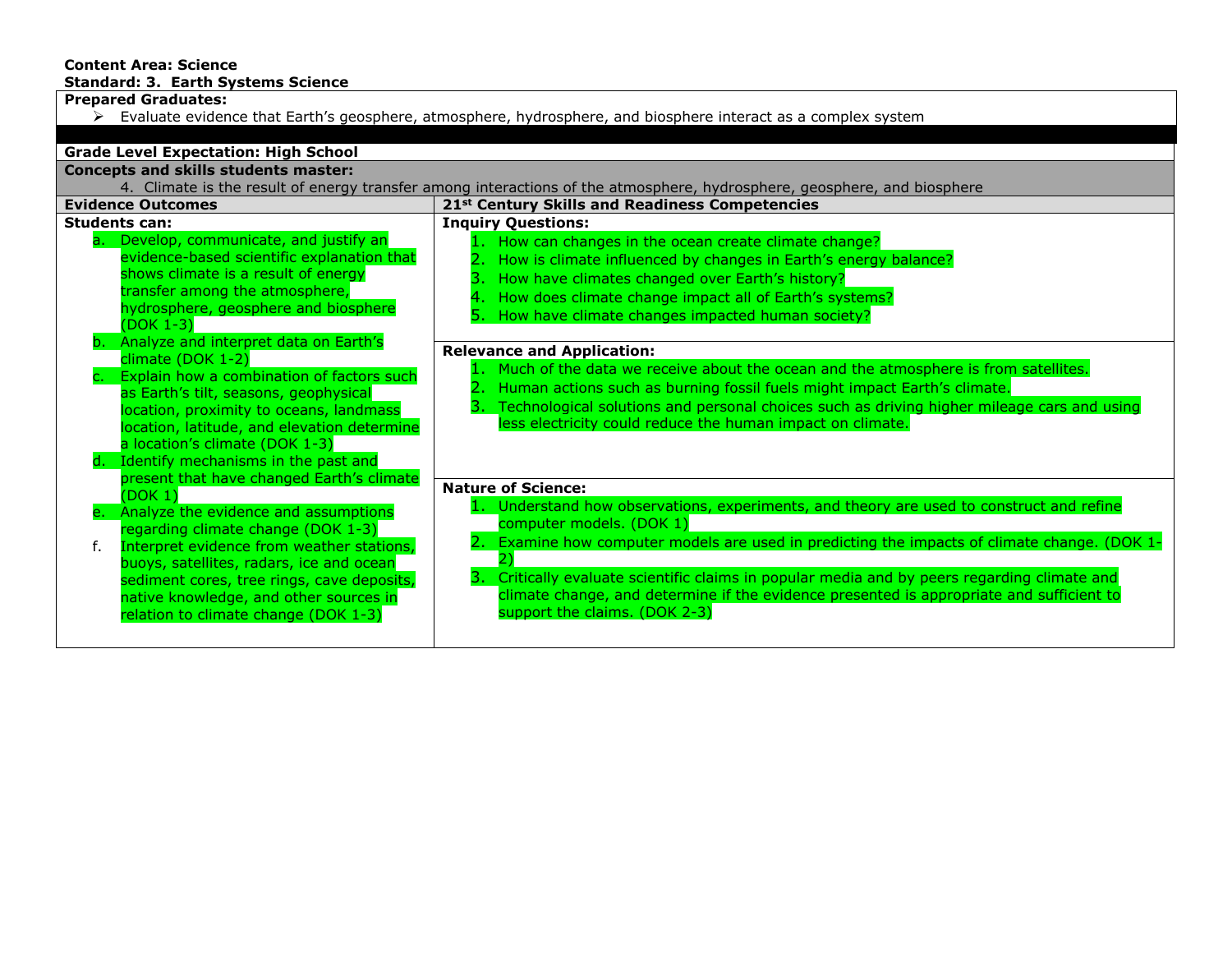# **Content Area: Science Standard: 3. Earth Systems Science**

**Prepared Graduates:**

 $\triangleright$  Evaluate evidence that Earth's geosphere, atmosphere, hydrosphere, and biosphere interact as a complex system

| <b>Grade Level Expectation: High School</b>                                                                                                                                                                                                                                                                                                                         |                                                                                                                                                                                                                                                                                                                                                                                                                                                   |  |  |
|---------------------------------------------------------------------------------------------------------------------------------------------------------------------------------------------------------------------------------------------------------------------------------------------------------------------------------------------------------------------|---------------------------------------------------------------------------------------------------------------------------------------------------------------------------------------------------------------------------------------------------------------------------------------------------------------------------------------------------------------------------------------------------------------------------------------------------|--|--|
| <b>Concepts and skills students master:</b>                                                                                                                                                                                                                                                                                                                         |                                                                                                                                                                                                                                                                                                                                                                                                                                                   |  |  |
| 4. Climate is the result of energy transfer among interactions of the atmosphere, hydrosphere, geosphere, and biosphere                                                                                                                                                                                                                                             |                                                                                                                                                                                                                                                                                                                                                                                                                                                   |  |  |
| <b>Evidence Outcomes</b>                                                                                                                                                                                                                                                                                                                                            | 21st Century Skills and Readiness Competencies                                                                                                                                                                                                                                                                                                                                                                                                    |  |  |
| <b>Students can:</b><br>Develop, communicate, and justify an<br>a.<br>evidence-based scientific explanation that<br>shows climate is a result of energy<br>transfer among the atmosphere,<br>hydrosphere, geosphere and biosphere<br>$(DOK 1-3)$                                                                                                                    | <b>Inquiry Questions:</b><br>How can changes in the ocean create climate change?<br>How is climate influenced by changes in Earth's energy balance?<br>How have climates changed over Earth's history?<br>How does climate change impact all of Earth's systems?<br>How have climate changes impacted human society?                                                                                                                              |  |  |
| Analyze and interpret data on Earth's<br>climate (DOK 1-2)<br>Explain how a combination of factors such<br>as Earth's tilt, seasons, geophysical<br>location, proximity to oceans, landmass<br>location, latitude, and elevation determine<br>a location's climate (DOK 1-3)<br>d. Identify mechanisms in the past and<br>present that have changed Earth's climate | <b>Relevance and Application:</b><br>Much of the data we receive about the ocean and the atmosphere is from satellites.<br>Human actions such as burning fossil fuels might impact Earth's climate.<br>Technological solutions and personal choices such as driving higher mileage cars and using<br>less electricity could reduce the human impact on climate.                                                                                   |  |  |
| (DOK 1)                                                                                                                                                                                                                                                                                                                                                             | <b>Nature of Science:</b>                                                                                                                                                                                                                                                                                                                                                                                                                         |  |  |
| e. Analyze the evidence and assumptions<br>regarding climate change (DOK 1-3)<br>Interpret evidence from weather stations,<br>buoys, satellites, radars, ice and ocean<br>sediment cores, tree rings, cave deposits,<br>native knowledge, and other sources in<br>relation to climate change (DOK 1-3)                                                              | 1. Understand how observations, experiments, and theory are used to construct and refine<br>computer models. (DOK 1)<br>2. Examine how computer models are used in predicting the impacts of climate change. (DOK 1-<br>3. Critically evaluate scientific claims in popular media and by peers regarding climate and<br>climate change, and determine if the evidence presented is appropriate and sufficient to<br>support the claims. (DOK 2-3) |  |  |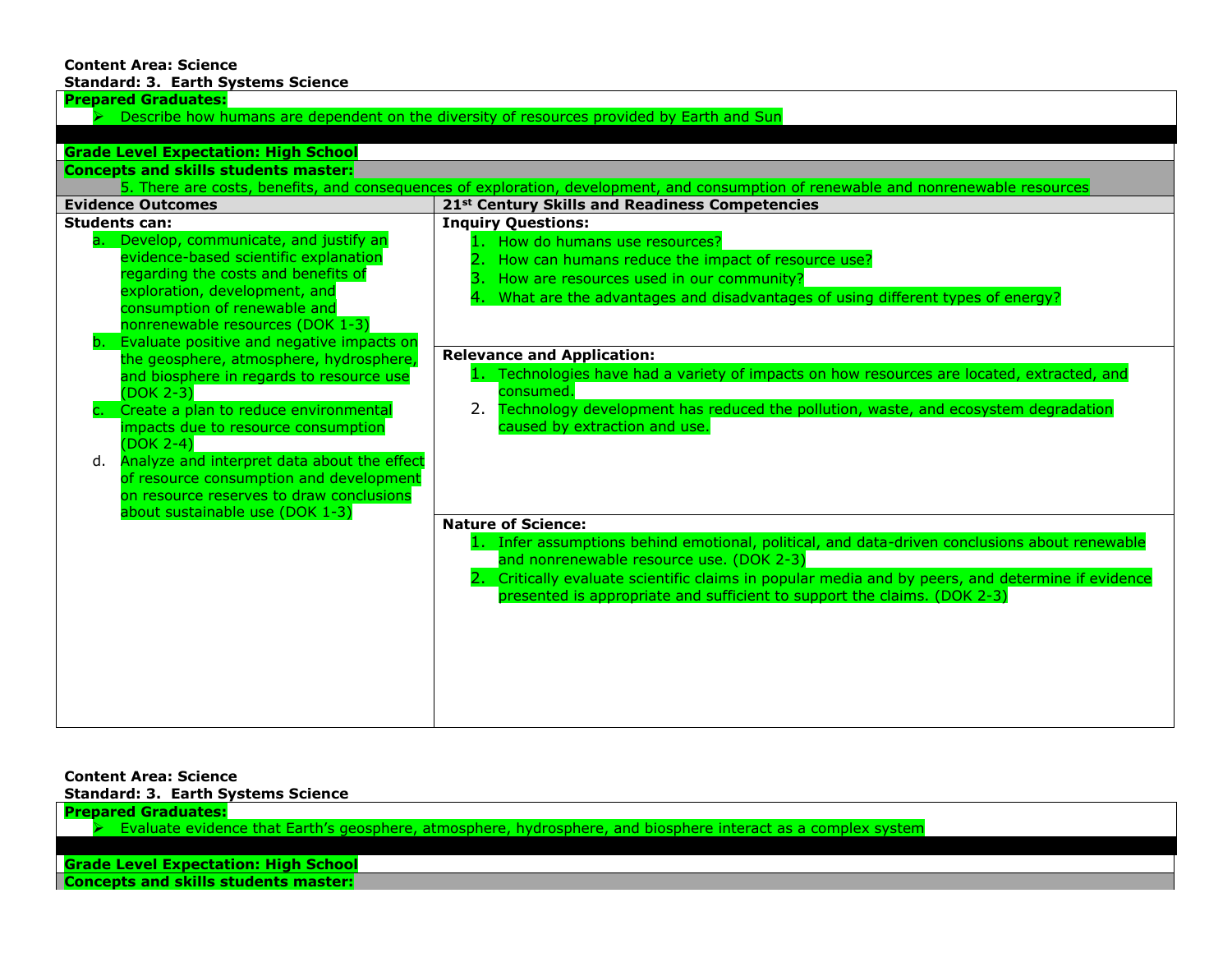#### **Content Area: Science Standard: 3. Earth Systems Science**

| <b>Prepared Graduates:</b>                                                                                                                                                                                                                                                                                                                                                                                                                                                                                                                                                                                                                                                                |                                                                                                                                                                                                                                                                                                                                                                                                                                                                                                                             |  |
|-------------------------------------------------------------------------------------------------------------------------------------------------------------------------------------------------------------------------------------------------------------------------------------------------------------------------------------------------------------------------------------------------------------------------------------------------------------------------------------------------------------------------------------------------------------------------------------------------------------------------------------------------------------------------------------------|-----------------------------------------------------------------------------------------------------------------------------------------------------------------------------------------------------------------------------------------------------------------------------------------------------------------------------------------------------------------------------------------------------------------------------------------------------------------------------------------------------------------------------|--|
| Describe how humans are dependent on the diversity of resources provided by Earth and Sun                                                                                                                                                                                                                                                                                                                                                                                                                                                                                                                                                                                                 |                                                                                                                                                                                                                                                                                                                                                                                                                                                                                                                             |  |
|                                                                                                                                                                                                                                                                                                                                                                                                                                                                                                                                                                                                                                                                                           |                                                                                                                                                                                                                                                                                                                                                                                                                                                                                                                             |  |
| <b>Grade Level Expectation: High School</b>                                                                                                                                                                                                                                                                                                                                                                                                                                                                                                                                                                                                                                               |                                                                                                                                                                                                                                                                                                                                                                                                                                                                                                                             |  |
| <b>Concepts and skills students master:</b>                                                                                                                                                                                                                                                                                                                                                                                                                                                                                                                                                                                                                                               |                                                                                                                                                                                                                                                                                                                                                                                                                                                                                                                             |  |
|                                                                                                                                                                                                                                                                                                                                                                                                                                                                                                                                                                                                                                                                                           | 5. There are costs, benefits, and consequences of exploration, development, and consumption of renewable and nonrenewable resources                                                                                                                                                                                                                                                                                                                                                                                         |  |
| <b>Evidence Outcomes</b>                                                                                                                                                                                                                                                                                                                                                                                                                                                                                                                                                                                                                                                                  | 21 <sup>st</sup> Century Skills and Readiness Competencies                                                                                                                                                                                                                                                                                                                                                                                                                                                                  |  |
| <b>Students can:</b><br>a. Develop, communicate, and justify an<br>evidence-based scientific explanation<br>regarding the costs and benefits of<br>exploration, development, and<br>consumption of renewable and<br>nonrenewable resources (DOK 1-3)<br>Evaluate positive and negative impacts on<br>b.<br>the geosphere, atmosphere, hydrosphere,<br>and biosphere in regards to resource use<br>(DOK 2-3)<br>Create a plan to reduce environmental<br>impacts due to resource consumption<br>$(DOK 2-4)$<br>Analyze and interpret data about the effect<br>d.<br>of resource consumption and development<br>on resource reserves to draw conclusions<br>about sustainable use (DOK 1-3) | <b>Inquiry Questions:</b><br>1. How do humans use resources?<br>How can humans reduce the impact of resource use?<br>How are resources used in our community?<br>What are the advantages and disadvantages of using different types of energy?<br><b>Relevance and Application:</b><br>1. Technologies have had a variety of impacts on how resources are located, extracted, and<br>consumed.<br>Technology development has reduced the pollution, waste, and ecosystem degradation<br>2.<br>caused by extraction and use. |  |
|                                                                                                                                                                                                                                                                                                                                                                                                                                                                                                                                                                                                                                                                                           | <b>Nature of Science:</b><br>1. Infer assumptions behind emotional, political, and data-driven conclusions about renewable<br>and nonrenewable resource use. (DOK 2-3)<br>2. Critically evaluate scientific claims in popular media and by peers, and determine if evidence<br>presented is appropriate and sufficient to support the claims. (DOK 2-3)                                                                                                                                                                     |  |

# **Content Area: Science**

**Standard: 3. Earth Systems Science**

**Prepared Graduates:**

 $\triangleright$  Evaluate evidence that Earth's geosphere, atmosphere, hydrosphere, and biosphere interact as a complex system

# **Grade Level Expectation: High School**

**Concepts and skills students master:**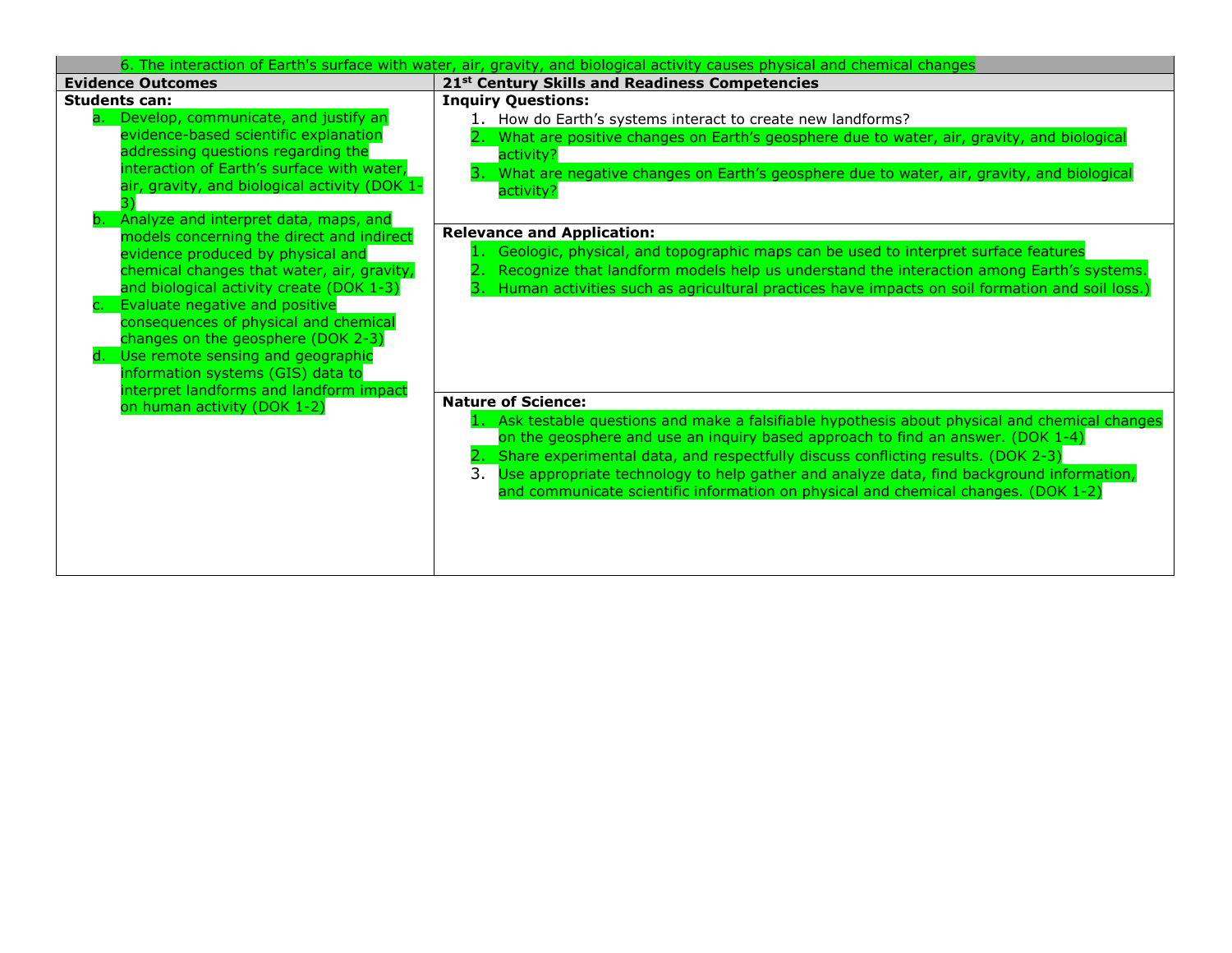| 6. The interaction of Earth's surface with water, air, gravity, and biological activity causes physical and chemical changes |                                                                                                 |  |
|------------------------------------------------------------------------------------------------------------------------------|-------------------------------------------------------------------------------------------------|--|
| <b>Evidence Outcomes</b>                                                                                                     | 21 <sup>st</sup> Century Skills and Readiness Competencies                                      |  |
| <b>Students can:</b>                                                                                                         | <b>Inquiry Questions:</b>                                                                       |  |
| a. Develop, communicate, and justify an                                                                                      | 1. How do Earth's systems interact to create new landforms?                                     |  |
| evidence-based scientific explanation                                                                                        | 2. What are positive changes on Earth's geosphere due to water, air, gravity, and biological    |  |
| addressing questions regarding the                                                                                           | activity?                                                                                       |  |
| interaction of Earth's surface with water,                                                                                   | What are negative changes on Earth's geosphere due to water, air, gravity, and biological       |  |
| air, gravity, and biological activity (DOK 1-                                                                                | activity?                                                                                       |  |
| Analyze and interpret data, maps, and<br>b.                                                                                  |                                                                                                 |  |
| models concerning the direct and indirect                                                                                    | <b>Relevance and Application:</b>                                                               |  |
| evidence produced by physical and                                                                                            | Geologic, physical, and topographic maps can be used to interpret surface features              |  |
| chemical changes that water, air, gravity,                                                                                   | Recognize that landform models help us understand the interaction among Earth's systems.        |  |
| and biological activity create (DOK 1-3)                                                                                     | Human activities such as agricultural practices have impacts on soil formation and soil loss.)  |  |
| Evaluate negative and positive                                                                                               |                                                                                                 |  |
| consequences of physical and chemical                                                                                        |                                                                                                 |  |
| changes on the geosphere (DOK 2-3)                                                                                           |                                                                                                 |  |
| Use remote sensing and geographic<br>d.                                                                                      |                                                                                                 |  |
| information systems (GIS) data to                                                                                            |                                                                                                 |  |
| interpret landforms and landform impact                                                                                      | <b>Nature of Science:</b>                                                                       |  |
| on human activity (DOK 1-2)                                                                                                  | 1. Ask testable questions and make a falsifiable hypothesis about physical and chemical changes |  |
|                                                                                                                              | on the geosphere and use an inquiry based approach to find an answer. (DOK 1-4)                 |  |
|                                                                                                                              | Share experimental data, and respectfully discuss conflicting results. (DOK 2-3)                |  |
|                                                                                                                              | Use appropriate technology to help gather and analyze data, find background information,<br>3.  |  |
|                                                                                                                              | and communicate scientific information on physical and chemical changes. (DOK 1-2)              |  |
|                                                                                                                              |                                                                                                 |  |
|                                                                                                                              |                                                                                                 |  |
|                                                                                                                              |                                                                                                 |  |
|                                                                                                                              |                                                                                                 |  |
|                                                                                                                              |                                                                                                 |  |